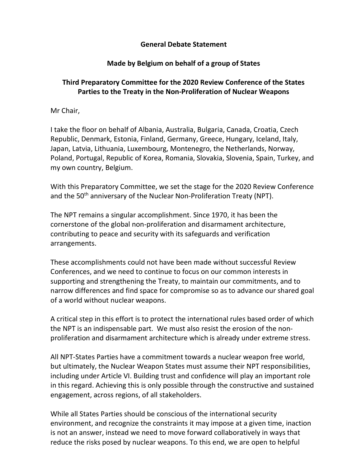## General Debate Statement

## Made by Belgium on behalf of a group of States

## Third Preparatory Committee for the 2020 Review Conference of the States Parties to the Treaty in the Non-Proliferation of Nuclear Weapons

Mr Chair,

I take the floor on behalf of Albania, Australia, Bulgaria, Canada, Croatia, Czech Republic, Denmark, Estonia, Finland, Germany, Greece, Hungary, Iceland, Italy, Japan, Latvia, Lithuania, Luxembourg, Montenegro, the Netherlands, Norway, Poland, Portugal, Republic of Korea, Romania, Slovakia, Slovenia, Spain, Turkey, and my own country, Belgium.

With this Preparatory Committee, we set the stage for the 2020 Review Conference and the 50<sup>th</sup> anniversary of the Nuclear Non-Proliferation Treaty (NPT).

The NPT remains a singular accomplishment. Since 1970, it has been the cornerstone of the global non-proliferation and disarmament architecture, contributing to peace and security with its safeguards and verification arrangements.

These accomplishments could not have been made without successful Review Conferences, and we need to continue to focus on our common interests in supporting and strengthening the Treaty, to maintain our commitments, and to narrow differences and find space for compromise so as to advance our shared goal of a world without nuclear weapons.

A critical step in this effort is to protect the international rules based order of which the NPT is an indispensable part. We must also resist the erosion of the nonproliferation and disarmament architecture which is already under extreme stress.

All NPT-States Parties have a commitment towards a nuclear weapon free world, but ultimately, the Nuclear Weapon States must assume their NPT responsibilities, including under Article VI. Building trust and confidence will play an important role in this regard. Achieving this is only possible through the constructive and sustained engagement, across regions, of all stakeholders.

While all States Parties should be conscious of the international security environment, and recognize the constraints it may impose at a given time, inaction is not an answer, instead we need to move forward collaboratively in ways that reduce the risks posed by nuclear weapons. To this end, we are open to helpful